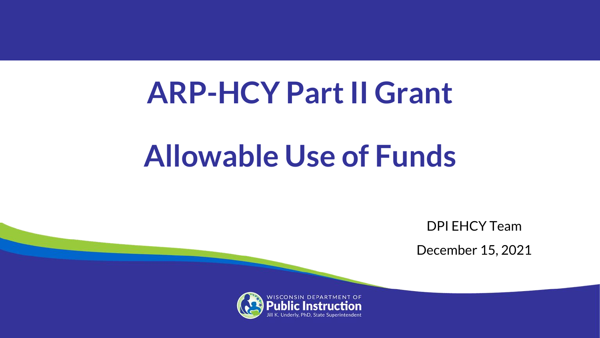# **ARP-HCY Part II Grant**

# **Allowable Use of Funds**

DPI EHCY Team

December 15, 2021

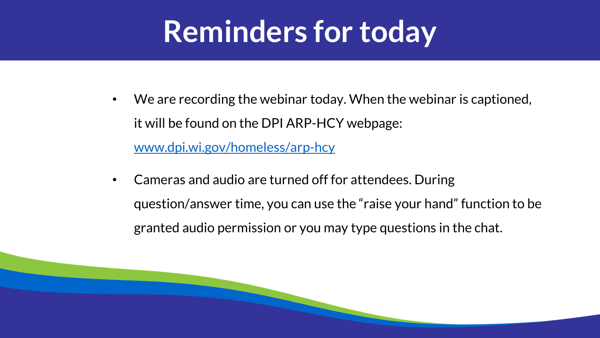### **Reminders for today**

- We are recording the webinar today. When the webinar is captioned, it will be found on the DPI ARP-HCY webpage: [www.dpi.wi.gov/homeless/arp-hcy](http://www.dpi.wi.gov/homeless/arp-hcy)
- Cameras and audio are turned off for attendees. During question/answer time, you can use the "raise your hand" function to be granted audio permission or you may type questions in the chat.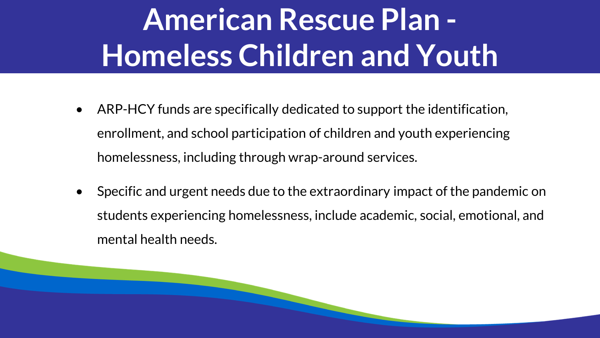# **American Rescue Plan - Homeless Children and Youth**

- ARP-HCY funds are specifically dedicated to support the identification, enrollment, and school participation of children and youth experiencing homelessness, including through wrap-around services.
- Specific and urgent needs due to the extraordinary impact of the pandemic on students experiencing homelessness, include academic, social, emotional, and mental health needs.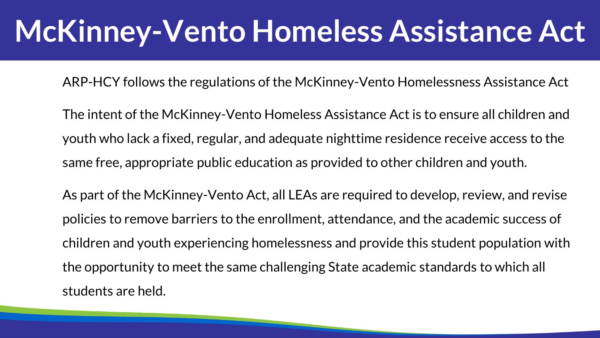### **McKinney-Vento Homeless Assistance Act**

ARP-HCY follows the regulations of the McKinney-Vento Homelessness Assistance Act

The intent of the McKinney-Vento Homeless Assistance Act is to ensure all children and youth who lack a fixed, regular, and adequate nighttime residence receive access to the same free, appropriate public education as provided to other children and youth.

As part of the McKinney-Vento Act, all LEAs are required to develop, review, and revise policies to remove barriers to the enrollment, attendance, and the academic success of children and youth experiencing homelessness and provide this student population with the opportunity to meet the same challenging State academic standards to which all students are held.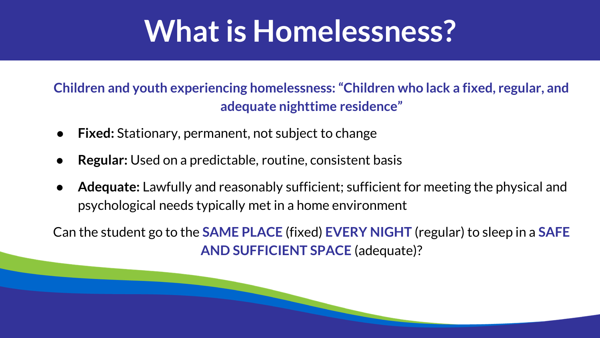### **What is Homelessness?**

#### **Children and youth experiencing homelessness: "Children who lack a fixed, regular, and adequate nighttime residence"**

- **Fixed:** Stationary, permanent, not subject to change
- **Regular:** Used on a predictable, routine, consistent basis
- **Adequate:** Lawfully and reasonably sufficient; sufficient for meeting the physical and psychological needs typically met in a home environment

Can the student go to the **SAME PLACE** (fixed) **EVERY NIGHT** (regular) to sleep in a **SAFE AND SUFFICIENT SPACE** (adequate)?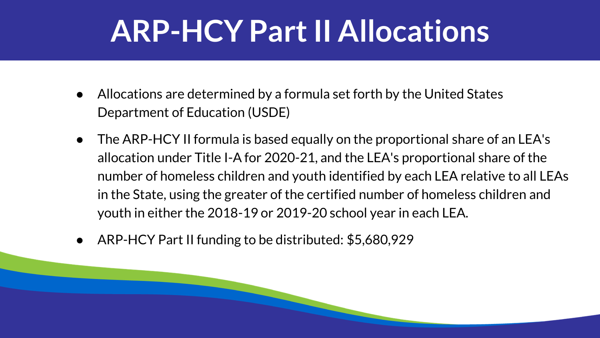### **ARP-HCY Part II Allocations**

- Allocations are determined by a formula set forth by the United States Department of Education (USDE)
- The ARP-HCY II formula is based equally on the proportional share of an LEA's allocation under Title I-A for 2020-21, and the LEA's proportional share of the number of homeless children and youth identified by each LEA relative to all LEAs in the State, using the greater of the certified number of homeless children and youth in either the 2018-19 or 2019-20 school year in each LEA.
- ARP-HCY Part II funding to be distributed: \$5,680,929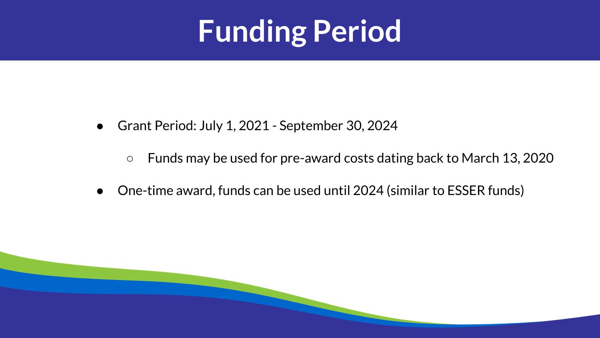# **Funding Period**

- Grant Period: July 1, 2021 September 30, 2024
	- Funds may be used for pre-award costs dating back to March 13, 2020
- One-time award, funds can be used until 2024 (similar to ESSER funds)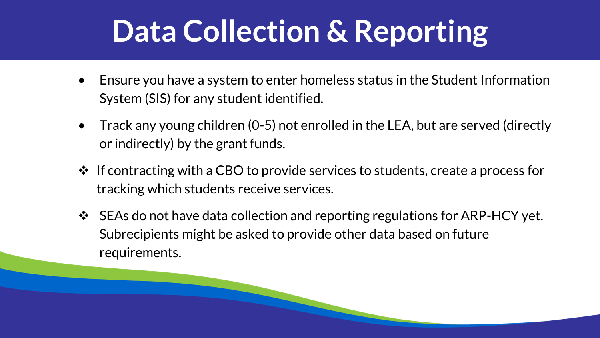# **Data Collection & Reporting**

- Ensure you have a system to enter homeless status in the Student Information System (SIS) for any student identified.
- Track any young children (0-5) not enrolled in the LEA, but are served (directly or indirectly) by the grant funds.
- ❖ If contracting with a CBO to provide services to students, create a process for tracking which students receive services.
- ❖ SEAs do not have data collection and reporting regulations for ARP-HCY yet. Subrecipients might be asked to provide other data based on future requirements.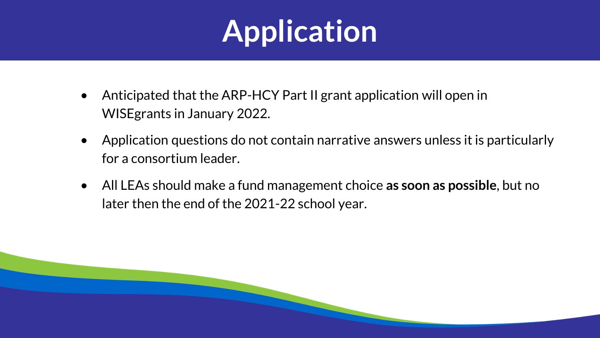# **Application**

- Anticipated that the ARP-HCY Part II grant application will open in WISEgrants in January 2022.
- Application questions do not contain narrative answers unless it is particularly for a consortium leader.
- All LEAs should make a fund management choice **as soon as possible**, but no later then the end of the 2021-22 school year.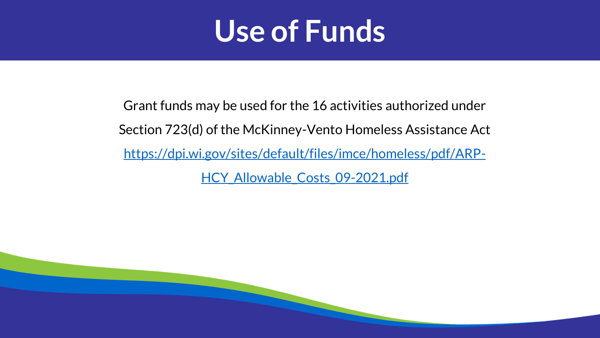

Grant funds may be used for the 16 activities authorized under Section 723(d) of the McKinney-Vento Homeless Assistance Act [https://dpi.wi.gov/sites/default/files/imce/homeless/pdf/ARP-](https://dpi.wi.gov/sites/default/files/imce/homeless/pdf/ARP-HCY_Allowable_Costs_09-2021.pdf)HCY Allowable Costs 09-2021.pdf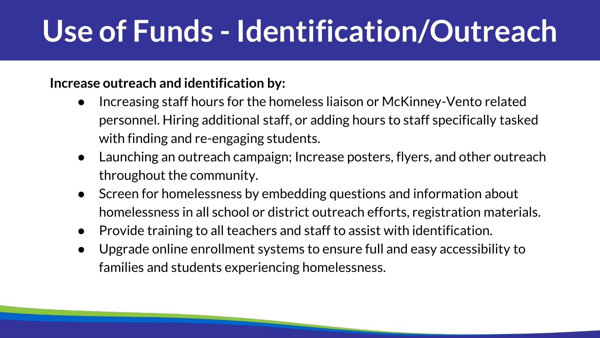# **Use of Funds - Identification/Outreach**

#### **Increase outreach and identification by:**

- Increasing staff hours for the homeless liaison or McKinney-Vento related personnel. Hiring additional staff, or adding hours to staff specifically tasked with finding and re-engaging students.
- Launching an outreach campaign; Increase posters, flyers, and other outreach throughout the community.
- Screen for homelessness by embedding questions and information about homelessness in all school or district outreach efforts, registration materials.
- Provide training to all teachers and staff to assist with identification.
- Upgrade online enrollment systems to ensure full and easy accessibility to families and students experiencing homelessness.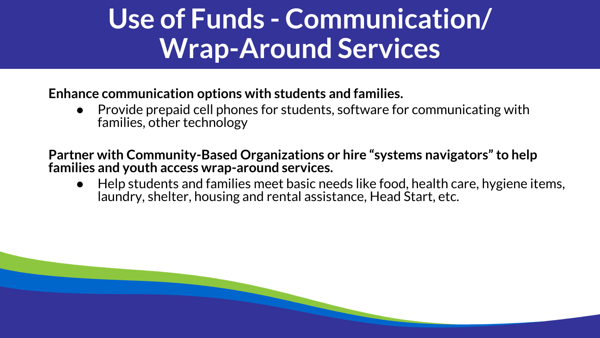### **Use of Funds - Communication/ Wrap-Around Services**

**Enhance communication options with students and families.**

Provide prepaid cell phones for students, software for communicating with families, other technology

**Partner with Community-Based Organizations or hire "systems navigators" to help families and youth access wrap-around services.**

Help students and families meet basic needs like food, health care, hygiene items, laundry, shelter, housing and rental assistance, Head Start, etc.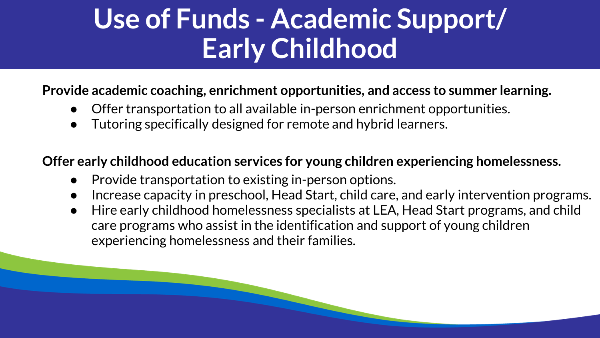### **Use of Funds - Academic Support/ Early Childhood**

#### **Provide academic coaching, enrichment opportunities, and access to summer learning.**

- Offer transportation to all available in-person enrichment opportunities.
- Tutoring specifically designed for remote and hybrid learners.

#### **Offer early childhood education services for young children experiencing homelessness.**

- Provide transportation to existing in-person options.
- Increase capacity in preschool, Head Start, child care, and early intervention programs.
- Hire early childhood homelessness specialists at LEA, Head Start programs, and child care programs who assist in the identification and support of young children experiencing homelessness and their families.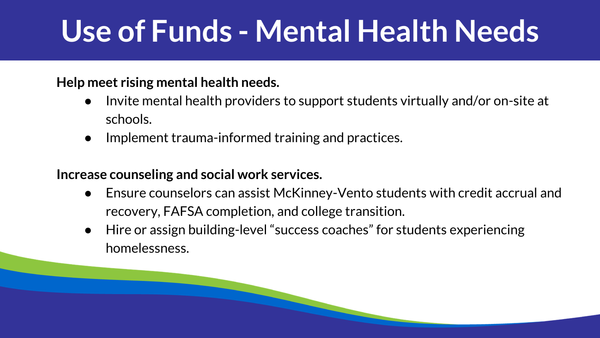# **Use of Funds - Mental Health Needs**

#### **Help meet rising mental health needs.**

- Invite mental health providers to support students virtually and/or on-site at schools.
- Implement trauma-informed training and practices.

#### **Increase counseling and social work services.**

- Ensure counselors can assist McKinney-Vento students with credit accrual and recovery, FAFSA completion, and college transition.
- Hire or assign building-level "success coaches" for students experiencing homelessness.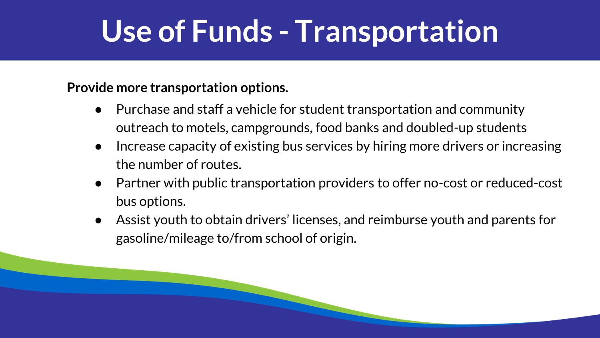### **Use of Funds - Transportation**

**Provide more transportation options.**

- Purchase and staff a vehicle for student transportation and community outreach to motels, campgrounds, food banks and doubled-up students
- Increase capacity of existing bus services by hiring more drivers or increasing the number of routes.
- Partner with public transportation providers to offer no-cost or reduced-cost bus options.
- Assist youth to obtain drivers' licenses, and reimburse youth and parents for gasoline/mileage to/from school of origin.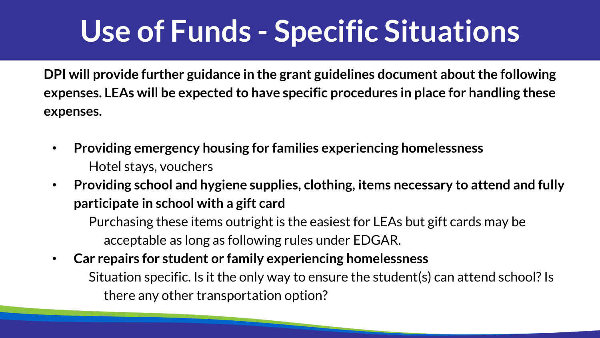# **Use of Funds - Specific Situations**

**DPI will provide further guidance in the grant guidelines document about the following expenses. LEAs will be expected to have specific procedures in place for handling these expenses.**

- **Providing emergency housing for families experiencing homelessness** Hotel stays, vouchers
- **Providing school and hygiene supplies, clothing, items necessary to attend and fully participate in school with a gift card**

Purchasing these items outright is the easiest for LEAs but gift cards may be acceptable as long as following rules under EDGAR.

• **Car repairs for student or family experiencing homelessness** Situation specific. Is it the only way to ensure the student(s) can attend school? Is there any other transportation option?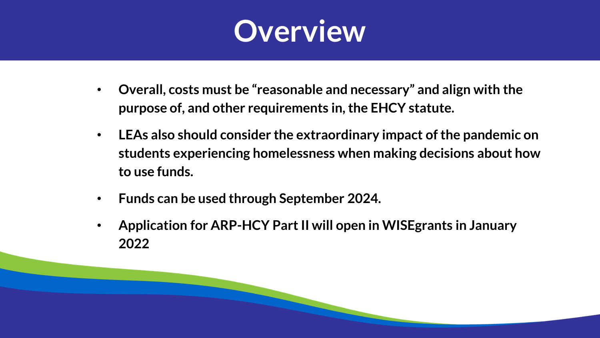

- **Overall, costs must be "reasonable and necessary" and align with the purpose of, and other requirements in, the EHCY statute.**
- **LEAs also should consider the extraordinary impact of the pandemic on students experiencing homelessness when making decisions about how to use funds.**
- **Funds can be used through September 2024.**
- **Application for ARP-HCY Part II will open in WISEgrants in January 2022**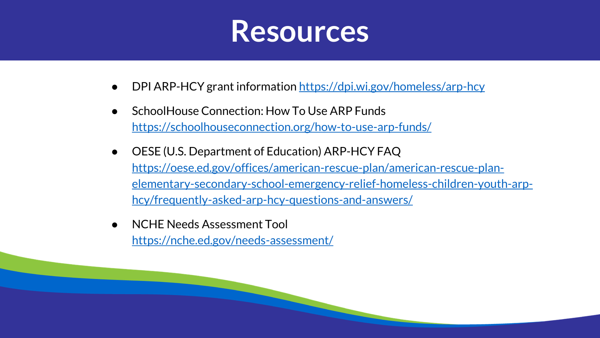

- DPI ARP-HCY grant information <https://dpi.wi.gov/homeless/arp-hcy>
- SchoolHouse Connection: How To Use ARP Funds <https://schoolhouseconnection.org/how-to-use-arp-funds/>
- OESE (U.S. Department of Education) ARP-HCY FAQ https://oese.ed.gov/offices/american-rescue-plan/american-rescue-plan[elementary-secondary-school-emergency-relief-homeless-children-youth-arp](https://oese.ed.gov/offices/american-rescue-plan/american-rescue-plan-elementary-secondary-school-emergency-relief-homeless-children-youth-arp-hcy/frequently-asked-arp-hcy-questions-and-answers/)hcy/frequently-asked-arp-hcy-questions-and-answers/
- **NCHE Needs Assessment Tool** <https://nche.ed.gov/needs-assessment/>